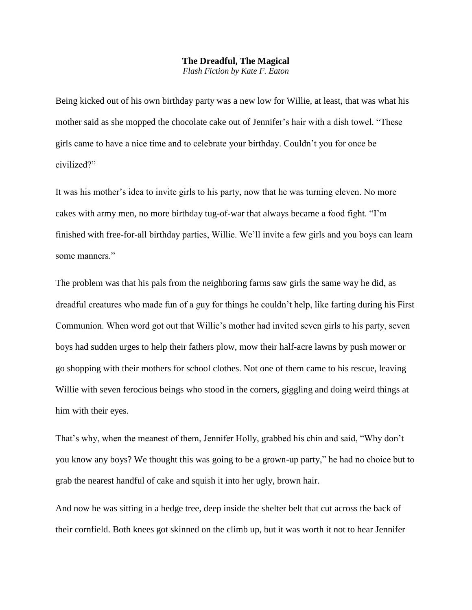## **The Dreadful, The Magical**

*Flash Fiction by Kate F. Eaton*

Being kicked out of his own birthday party was a new low for Willie, at least, that was what his mother said as she mopped the chocolate cake out of Jennifer's hair with a dish towel. "These girls came to have a nice time and to celebrate your birthday. Couldn't you for once be civilized?"

It was his mother's idea to invite girls to his party, now that he was turning eleven. No more cakes with army men, no more birthday tug-of-war that always became a food fight. "I'm finished with free-for-all birthday parties, Willie. We'll invite a few girls and you boys can learn some manners."

The problem was that his pals from the neighboring farms saw girls the same way he did, as dreadful creatures who made fun of a guy for things he couldn't help, like farting during his First Communion. When word got out that Willie's mother had invited seven girls to his party, seven boys had sudden urges to help their fathers plow, mow their half-acre lawns by push mower or go shopping with their mothers for school clothes. Not one of them came to his rescue, leaving Willie with seven ferocious beings who stood in the corners, giggling and doing weird things at him with their eyes.

That's why, when the meanest of them, Jennifer Holly, grabbed his chin and said, "Why don't you know any boys? We thought this was going to be a grown-up party," he had no choice but to grab the nearest handful of cake and squish it into her ugly, brown hair.

And now he was sitting in a hedge tree, deep inside the shelter belt that cut across the back of their cornfield. Both knees got skinned on the climb up, but it was worth it not to hear Jennifer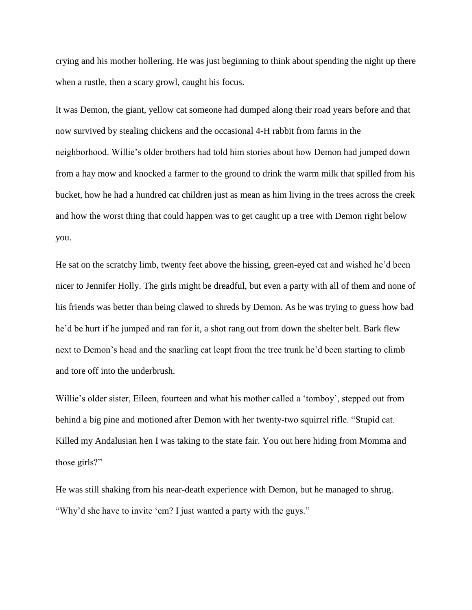crying and his mother hollering. He was just beginning to think about spending the night up there when a rustle, then a scary growl, caught his focus.

It was Demon, the giant, yellow cat someone had dumped along their road years before and that now survived by stealing chickens and the occasional 4-H rabbit from farms in the neighborhood. Willie's older brothers had told him stories about how Demon had jumped down from a hay mow and knocked a farmer to the ground to drink the warm milk that spilled from his bucket, how he had a hundred cat children just as mean as him living in the trees across the creek and how the worst thing that could happen was to get caught up a tree with Demon right below you.

He sat on the scratchy limb, twenty feet above the hissing, green-eyed cat and wished he'd been nicer to Jennifer Holly. The girls might be dreadful, but even a party with all of them and none of his friends was better than being clawed to shreds by Demon. As he was trying to guess how bad he'd be hurt if he jumped and ran for it, a shot rang out from down the shelter belt. Bark flew next to Demon's head and the snarling cat leapt from the tree trunk he'd been starting to climb and tore off into the underbrush.

Willie's older sister, Eileen, fourteen and what his mother called a 'tomboy', stepped out from behind a big pine and motioned after Demon with her twenty-two squirrel rifle. "Stupid cat. Killed my Andalusian hen I was taking to the state fair. You out here hiding from Momma and those girls?"

He was still shaking from his near-death experience with Demon, but he managed to shrug. "Why'd she have to invite 'em? I just wanted a party with the guys."